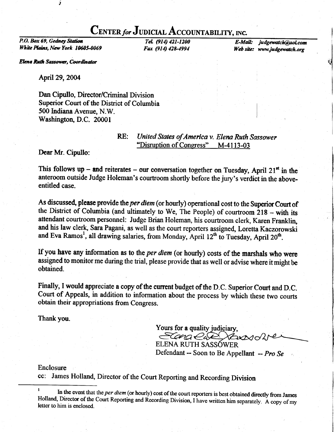## CENTER for JUDICIAL ACCOUNTABILITY, INC.

P.O. Box 69, Gedney Station White Plains, New York 10605-0069

ÿ

TeL (914) 421-1200 Fax (914) 428-4994

E-Mail: judgewatch@aol.com Web site: www.judgewatch.org

I I -J

f

Elena Ruth Sassower, Coordinator

April 29, 2004

Dan Cipullo, Director/Criminat Division Superior Court of the District of Columbia 500 Indiana Avenue, N.W. Washington, D.C. 20001

## RE: United States of America v. Elena Ruth Sassower<br>"Disruption of Congress" M-4113-03

Dear Mr. Cipullo:

This follows up – and reiterates – our conversation together on Tuesday, April 21<sup>st</sup> in the anteroom outside Judge Holeman's courtroom shortly before the jury's verdict in the aboveentitled case.

As discussed, please provide the per diem (or hourly) operational cost to the Superior Court of the District of Columbia (and ultimately to We, The People) of courtroom  $218 -$  with its attendant courtroom personnel: Judge Brian Holeman, his courtroom clerk, Karen Franklin, and his law clerk, Sara Pagani, as well as the court reporters assigned, Loretta Kaczorowski and Eva Ramos<sup>1</sup>, all drawing salaries, from Monday, April 12<sup>th</sup> to Tuesday, April 20<sup>th</sup>.

If you have any information as to the per diem (or hourly) costs of the marshals who were assigned to monitor me during the trial, please provide that as well or advise where it might be obtained.

Finally, I would appreciate a copy of the current budget of the D.C. Superior Court and D.C. Court of Appeals, in addition to information about the process by which these two courts obtain their appropriations from Congress.

Thank you.

Yours for a quality judiciary, Elang Car Xward

ELENA RUTH SASSÓWER Defendant -- Soon to Be Appellant -- Pro Se

Enclosure

cc: James Holland, Director of the Court Reporting and Recording Division

<sup>&</sup>lt;sup>1</sup> In the event that the *per diem* (or hourly) cost of the court reporters is best obtained directly from James Holland, Director of the Court Reporting and Recording Division, I have written him separately. A copy of my